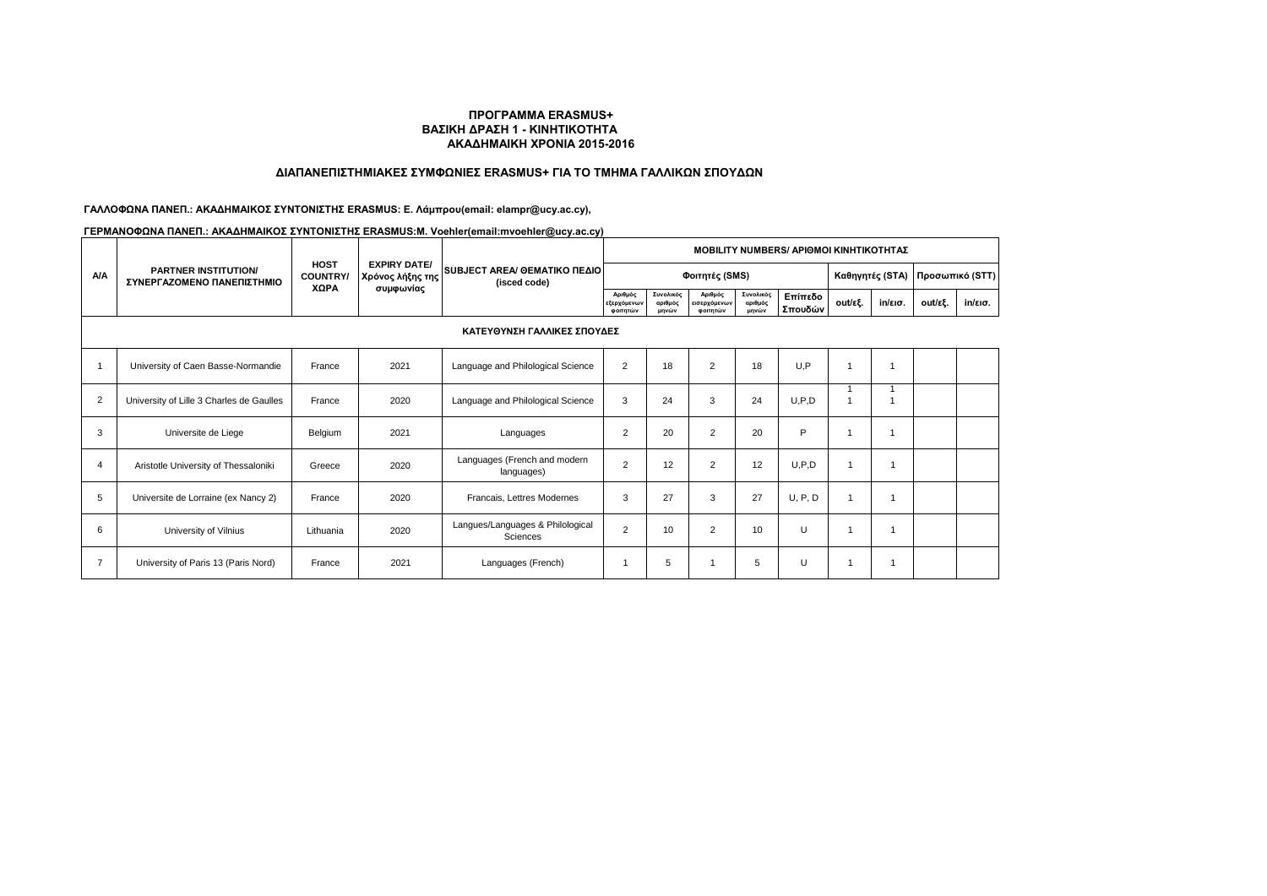## **ΔΙΑΠΑΝΕΠΙΣΤΗΜΙΑΚΕΣ ΣΥΜΦΩΝΙΕΣ ERASMUS+ ΓΙΑ ΤΟ ΤΜΗΜΑ ΓΑΛΛΙΚΩΝ ΣΠΟΥΔΩΝ**

# **ΓΑΛΛΟΦΩΝΑ ΠΑΝΕΠ.: ΑΚΑΔΗΜΑΙΚΟΣ ΣΥΝΤΟΝΙΣΤΗΣ ERASMUS: Ε. Λάμπρου(email: elampr@ucy.ac.cy),**

|                | <b>PARTNER INSTITUTION/</b><br>ΣΥΝΕΡΓΑΖΟΜΕΝΟ ΠΑΝΕΠΙΣΤΗΜΙΟ | <b>HOST</b><br><b>COUNTRY/</b><br><b>XOPA</b> |                                                      | SUBJECT AREA/ OEMATIKO ΠΕΔΙΟΙ<br>(isced code) | <b>MOBILITY NUMBERS/ APIOMOI KINHTIKOTHTAZ</b> |                               |                                     |                               |                    |                 |                   |         |                   |  |
|----------------|-----------------------------------------------------------|-----------------------------------------------|------------------------------------------------------|-----------------------------------------------|------------------------------------------------|-------------------------------|-------------------------------------|-------------------------------|--------------------|-----------------|-------------------|---------|-------------------|--|
| <b>A/A</b>     |                                                           |                                               | <b>EXPIRY DATE/</b><br>Χρόνος λήξης της<br>συμφωνίας |                                               |                                                |                               | Φοιτητές (SMS)                      | Καθηγητές (STA)               |                    | Προσωπικό (STT) |                   |         |                   |  |
|                |                                                           |                                               |                                                      |                                               | Αριθμός<br>εξερχόμενων<br>φοιτητών             | Συνολικός<br>αριθμός<br>μηνών | Αριθμός<br>εισερχόμενων<br>φοιτητών | Συνολικός<br>αριθμός<br>μηνών | Επίπεδο<br>Σπουδών | out/εξ.         | $in/\epsilon$ ισ. | out/εξ. | $in/\epsilon$ ισ. |  |
|                | ΚΑΤΕΥΘΥΝΣΗ ΓΑΛΛΙΚΕΣ ΣΠΟΥΔΕΣ                               |                                               |                                                      |                                               |                                                |                               |                                     |                               |                    |                 |                   |         |                   |  |
|                | University of Caen Basse-Normandie                        | France                                        | 2021                                                 | Language and Philological Science             | 2                                              | 18                            | $\overline{2}$                      | 18                            | U.P                |                 |                   |         |                   |  |
| $\overline{2}$ | University of Lille 3 Charles de Gaulles                  | France                                        | 2020                                                 | Language and Philological Science             | 3                                              | 24                            | 3                                   | 24                            | U, P, D            |                 |                   |         |                   |  |
| 3              | Universite de Liege                                       | Belgium                                       | 2021                                                 | Languages                                     | $\overline{2}$                                 | 20                            | $\overline{2}$                      | 20                            | P                  |                 | $\overline{1}$    |         |                   |  |
| $\overline{4}$ | Aristotle University of Thessaloniki                      | Greece                                        | 2020                                                 | Languages (French and modern<br>languages)    | $\overline{2}$                                 | 12                            | $\overline{2}$                      | 12                            | U.P.D              | $\overline{ }$  |                   |         |                   |  |
| 5              | Universite de Lorraine (ex Nancy 2)                       | France                                        | 2020                                                 | Francais, Lettres Modernes                    | 3                                              | 27                            | 3                                   | 27                            | U, P, D            |                 |                   |         |                   |  |
| 6              | University of Vilnius                                     | Lithuania                                     | 2020                                                 | Langues/Languages & Philological<br>Sciences  | 2                                              | 10 <sup>10</sup>              | $\overline{2}$                      | 10                            | U                  |                 |                   |         |                   |  |
| 7              | University of Paris 13 (Paris Nord)                       | France                                        | 2021                                                 | Languages (French)                            |                                                | 5                             |                                     | 5                             | U                  |                 |                   |         |                   |  |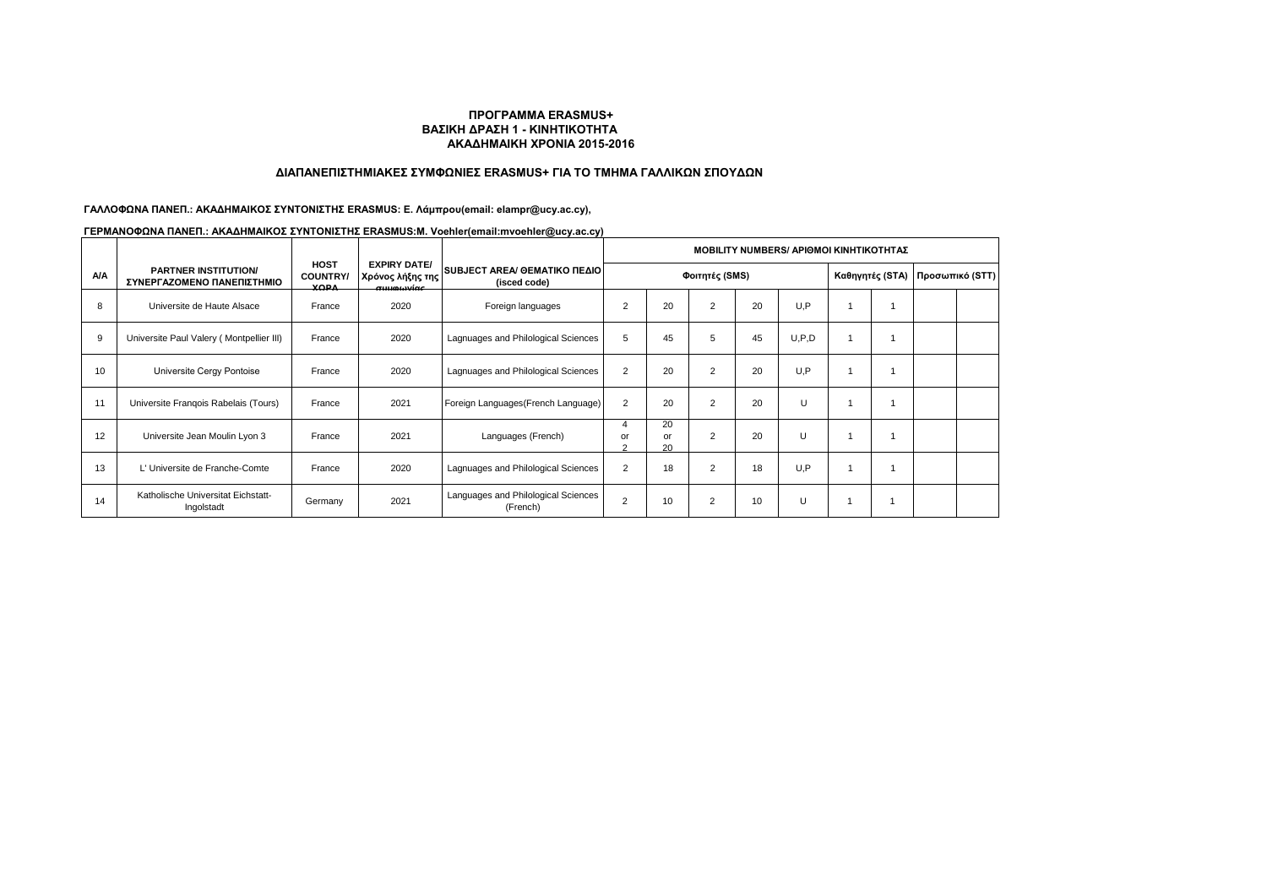### **ΔΙΑΠΑΝΕΠΙΣΤΗΜΙΑΚΕΣ ΣΥΜΦΩΝΙΕΣ ERASMUS+ ΓΙΑ ΤΟ ΤΜΗΜΑ ΓΑΛΛΙΚΩΝ ΣΠΟΥΔΩΝ**

### **ΓΑΛΛΟΦΩΝΑ ΠΑΝΕΠ.: ΑΚΑΔΗΜΑΙΚΟΣ ΣΥΝΤΟΝΙΣΤΗΣ ERASMUS: Ε. Λάμπρου(email: elampr@ucy.ac.cy),**

|            |                                                           |                                               |                                                               |                                                 | <b>ΜΟΒΙLITY NUMBERS/ ΑΡΙΘΜΟΙ ΚΙΝΗΤΙΚΟΤΗΤΑΣ</b> |                |                |    |       |                 |  |                 |  |
|------------|-----------------------------------------------------------|-----------------------------------------------|---------------------------------------------------------------|-------------------------------------------------|------------------------------------------------|----------------|----------------|----|-------|-----------------|--|-----------------|--|
| <b>A/A</b> | <b>PARTNER INSTITUTION/</b><br>ΣΥΝΕΡΓΑΖΟΜΕΝΟ ΠΑΝΕΠΙΣΤΗΜΙΟ | <b>HOST</b><br><b>COUNTRY/</b><br><b>YODA</b> | <b>EXPIRY DATE/</b><br>Χρόνος λήξης της<br>$\sigma$ uwww.wócc | SUBJECT AREA/ OEMATIKO ΠΕΔΙΟΙ<br>(isced code)   | Φοιτητές (SMS)                                 |                |                |    |       | Καθηγητές (STA) |  | Προσωπικό (STT) |  |
| 8          | Universite de Haute Alsace                                | France                                        | 2020                                                          | Foreign languages                               | $\overline{2}$                                 | 20             | $\overline{2}$ | 20 | U.P   |                 |  |                 |  |
| 9          | Universite Paul Valery (Montpellier III)                  | France                                        | 2020                                                          | Lagnuages and Philological Sciences             | 5                                              | 45             | 5              | 45 | U.P.D |                 |  |                 |  |
| 10         | Universite Cergy Pontoise                                 | France                                        | 2020                                                          | Lagnuages and Philological Sciences             | $\overline{2}$                                 | 20             | $\overline{2}$ | 20 | U.P   |                 |  |                 |  |
| 11         | Universite Frangois Rabelais (Tours)                      | France                                        | 2021                                                          | Foreign Languages (French Language)             | $\overline{2}$                                 | 20             | $\overline{2}$ | 20 | Ü     |                 |  |                 |  |
| 12         | Universite Jean Moulin Lyon 3                             | France                                        | 2021                                                          | Languages (French)                              | $\overline{4}$<br>or<br>$\sim$                 | 20<br>or<br>20 | $\overline{2}$ | 20 | U     |                 |  |                 |  |
| 13         | L' Universite de Franche-Comte                            | France                                        | 2020                                                          | Lagnuages and Philological Sciences             | $\overline{2}$                                 | 18             | $\overline{2}$ | 18 | U.P   |                 |  |                 |  |
| 14         | Katholische Universitat Eichstatt-<br>Ingolstadt          | Germany                                       | 2021                                                          | Languages and Philological Sciences<br>(French) | 2                                              | 10             | $\overline{2}$ | 10 | U     | ٠               |  |                 |  |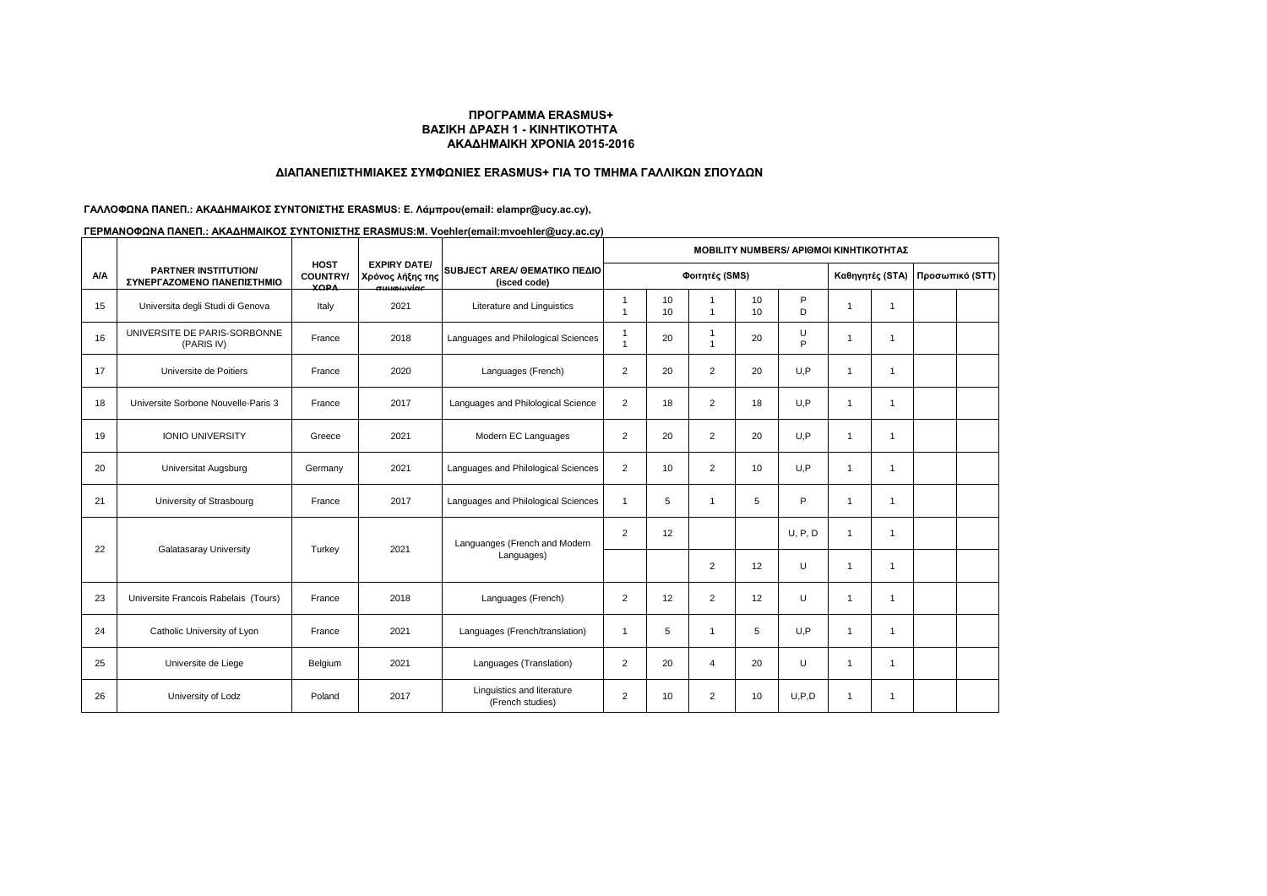## **ΔΙΑΠΑΝΕΠΙΣΤΗΜΙΑΚΕΣ ΣΥΜΦΩΝΙΕΣ ERASMUS+ ΓΙΑ ΤΟ ΤΜΗΜΑ ΓΑΛΛΙΚΩΝ ΣΠΟΥΔΩΝ**

## **ΓΑΛΛΟΦΩΝΑ ΠΑΝΕΠ.: ΑΚΑΔΗΜΑΙΚΟΣ ΣΥΝΤΟΝΙΣΤΗΣ ERASMUS: Ε. Λάμπρου(email: elampr@ucy.ac.cy),**

|            |                                                           |                                               |                                                                                         |                                                | <b>MOBILITY NUMBERS/ APIOMOI KINHTIKOTHTAΣ</b> |          |                                |          |         |                |                 |  |                 |
|------------|-----------------------------------------------------------|-----------------------------------------------|-----------------------------------------------------------------------------------------|------------------------------------------------|------------------------------------------------|----------|--------------------------------|----------|---------|----------------|-----------------|--|-----------------|
| <b>A/A</b> | <b>PARTNER INSTITUTION/</b><br>ΣΥΝΕΡΓΑΖΟΜΕΝΟ ΠΑΝΕΠΙΣΤΗΜΙΟ | <b>HOST</b><br><b>COUNTRY/</b><br><b>YORA</b> | <b>EXPIRY DATE/</b><br>Χρόνος λήξης της<br><b><i><u><u><u>autorniac</u></u></u></i></b> | SUBJECT AREA/ GEMATIKO ΠΕΔΙΟ<br>(isced code)   | Φοιτητές (SMS)                                 |          |                                |          |         |                | Καθηγητές (STA) |  | Προσωπικό (STT) |
| 15         | Universita degli Studi di Genova                          | Italy                                         | 2021                                                                                    | Literature and Linguistics                     | -1<br>$\overline{1}$                           | 10<br>10 | $\overline{1}$                 | 10<br>10 | P<br>D  | -1             | $\overline{1}$  |  |                 |
| 16         | UNIVERSITE DE PARIS-SORBONNE<br>(PARIS IV)                | France                                        | 2018                                                                                    | Languages and Philological Sciences            | -1<br>$\overline{1}$                           | 20       | $\mathbf{1}$<br>$\overline{1}$ | 20       | U<br>P  | $\overline{1}$ | $\mathbf{1}$    |  |                 |
| 17         | Universite de Poitiers                                    | France                                        | 2020                                                                                    | Languages (French)                             | $\overline{2}$                                 | 20       | $\overline{2}$                 | 20       | U.P     | $\overline{1}$ | $\mathbf{1}$    |  |                 |
| 18         | Universite Sorbone Nouvelle-Paris 3                       | France                                        | 2017                                                                                    | Languages and Philological Science             | $\overline{2}$                                 | 18       | 2                              | 18       | U.P     | $\overline{1}$ | $\mathbf{1}$    |  |                 |
| 19         | <b>IONIO UNIVERSITY</b>                                   | Greece                                        | 2021                                                                                    | Modern EC Languages                            | $\overline{2}$                                 | 20       | $\overline{2}$                 | 20       | U.P     | $\overline{1}$ | $\overline{1}$  |  |                 |
| 20         | Universitat Augsburg                                      | Germany                                       | 2021                                                                                    | Languages and Philological Sciences            | $\overline{2}$                                 | 10       | $\overline{2}$                 | 10       | U.P     | -1             | -1              |  |                 |
| 21         | University of Strasbourg                                  | France                                        | 2017                                                                                    | Languages and Philological Sciences            | $\overline{1}$                                 | 5        | $\mathbf{1}$                   | 5        | P       | -1             | $\overline{1}$  |  |                 |
| 22         | Galatasaray University                                    | Turkey                                        |                                                                                         | Languanges (French and Modern<br>Languages)    | $\overline{2}$                                 | 12       |                                |          | U, P, D | $\overline{1}$ | $\mathbf 1$     |  |                 |
|            |                                                           |                                               | 2021                                                                                    |                                                |                                                |          | $\overline{2}$                 | 12       | U       | $\overline{1}$ | $\mathbf{1}$    |  |                 |
| 23         | Universite Francois Rabelais (Tours)                      | France                                        | 2018                                                                                    | Languages (French)                             | $\overline{2}$                                 | 12       | $\overline{2}$                 | 12       | U       | $\overline{1}$ | $\overline{1}$  |  |                 |
| 24         | Catholic University of Lyon                               | France                                        | 2021                                                                                    | Languages (French/translation)                 | $\overline{1}$                                 | 5        | $\mathbf{1}$                   | 5        | U.P     | $\overline{1}$ | $\mathbf{1}$    |  |                 |
| 25         | Universite de Liege                                       | Belgium                                       | 2021                                                                                    | Languages (Translation)                        | $\overline{2}$                                 | 20       | 4                              | 20       | U       | $\overline{1}$ | $\overline{1}$  |  |                 |
| 26         | University of Lodz                                        | Poland                                        | 2017                                                                                    | Linguistics and literature<br>(French studies) | $\overline{2}$                                 | 10       | $\overline{2}$                 | 10       | U.P.D   | $\overline{1}$ | $\overline{1}$  |  |                 |